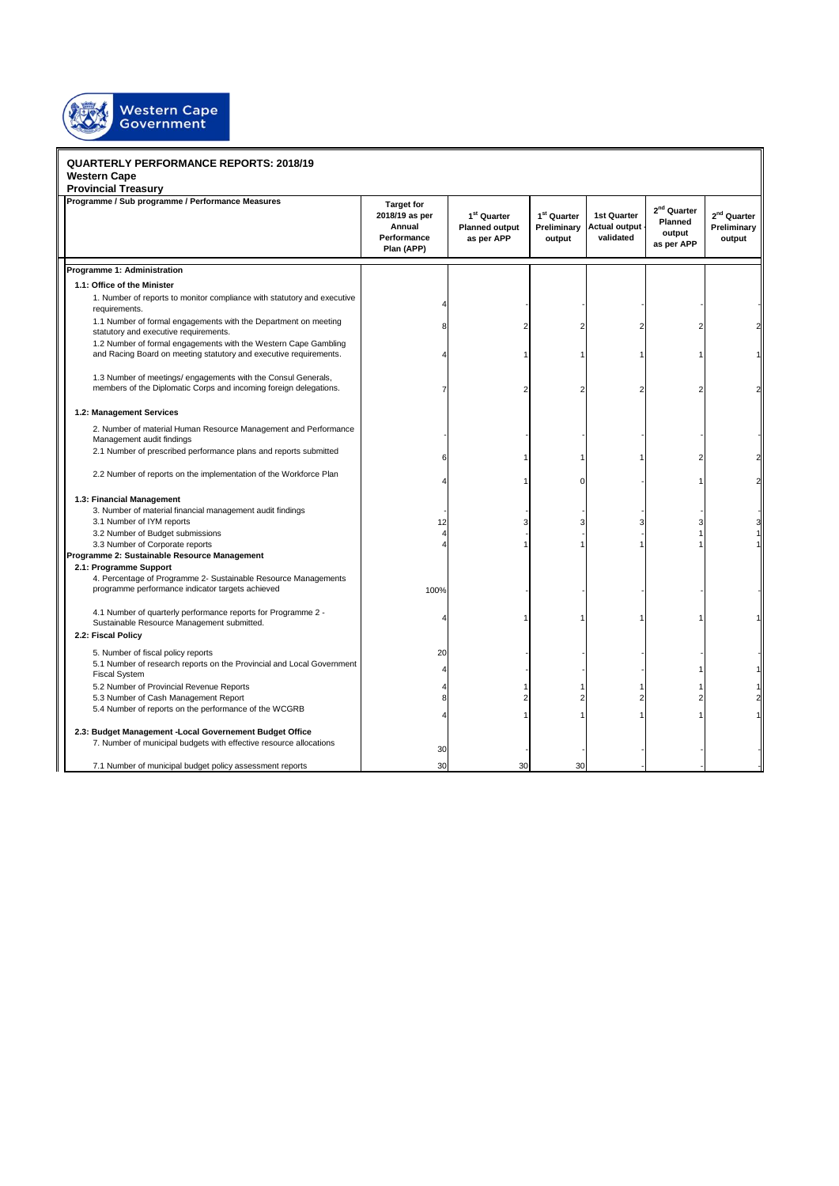

## **QUARTERLY PERFORMANCE REPORTS: 2018/19 Western Cape**

| <b>Provincial Treasury</b>                                                                                                           |                                                                            |                                                                |                                                  |                                                  |                                                            |                                           |  |  |
|--------------------------------------------------------------------------------------------------------------------------------------|----------------------------------------------------------------------------|----------------------------------------------------------------|--------------------------------------------------|--------------------------------------------------|------------------------------------------------------------|-------------------------------------------|--|--|
| Programme / Sub programme / Performance Measures                                                                                     | <b>Target for</b><br>2018/19 as per<br>Annual<br>Performance<br>Plan (APP) | 1 <sup>st</sup> Quarter<br><b>Planned output</b><br>as per APP | 1 <sup>st</sup> Quarter<br>Preliminary<br>output | 1st Quarter<br><b>Actual output</b><br>validated | 2 <sup>nd</sup> Quarter<br>Planned<br>output<br>as per APP | $2^{nd}$ Quarter<br>Preliminary<br>output |  |  |
| Programme 1: Administration                                                                                                          |                                                                            |                                                                |                                                  |                                                  |                                                            |                                           |  |  |
| 1.1: Office of the Minister                                                                                                          |                                                                            |                                                                |                                                  |                                                  |                                                            |                                           |  |  |
| 1. Number of reports to monitor compliance with statutory and executive<br>requirements.                                             |                                                                            |                                                                |                                                  |                                                  |                                                            |                                           |  |  |
| 1.1 Number of formal engagements with the Department on meeting<br>statutory and executive requirements.                             | 8                                                                          | 2                                                              |                                                  |                                                  |                                                            |                                           |  |  |
| 1.2 Number of formal engagements with the Western Cape Gambling<br>and Racing Board on meeting statutory and executive requirements. |                                                                            |                                                                |                                                  |                                                  |                                                            |                                           |  |  |
| 1.3 Number of meetings/ engagements with the Consul Generals,<br>members of the Diplomatic Corps and incoming foreign delegations.   | 7                                                                          | 2                                                              |                                                  |                                                  | $\overline{2}$                                             |                                           |  |  |
| 1.2: Management Services                                                                                                             |                                                                            |                                                                |                                                  |                                                  |                                                            |                                           |  |  |
| 2. Number of material Human Resource Management and Performance<br>Management audit findings                                         |                                                                            |                                                                |                                                  |                                                  |                                                            |                                           |  |  |
| 2.1 Number of prescribed performance plans and reports submitted                                                                     | 6                                                                          |                                                                |                                                  |                                                  |                                                            |                                           |  |  |
| 2.2 Number of reports on the implementation of the Workforce Plan                                                                    |                                                                            |                                                                |                                                  |                                                  |                                                            |                                           |  |  |
| 1.3: Financial Management                                                                                                            |                                                                            |                                                                |                                                  |                                                  |                                                            |                                           |  |  |
| 3. Number of material financial management audit findings                                                                            |                                                                            |                                                                |                                                  |                                                  |                                                            |                                           |  |  |
| 3.1 Number of IYM reports                                                                                                            | 12                                                                         |                                                                |                                                  |                                                  | 3                                                          |                                           |  |  |
| 3.2 Number of Budget submissions                                                                                                     |                                                                            |                                                                |                                                  |                                                  |                                                            |                                           |  |  |
| 3.3 Number of Corporate reports                                                                                                      |                                                                            |                                                                |                                                  |                                                  |                                                            |                                           |  |  |
| Programme 2: Sustainable Resource Management<br>2.1: Programme Support                                                               |                                                                            |                                                                |                                                  |                                                  |                                                            |                                           |  |  |
| 4. Percentage of Programme 2- Sustainable Resource Managements<br>programme performance indicator targets achieved                   | 100%                                                                       |                                                                |                                                  |                                                  |                                                            |                                           |  |  |
| 4.1 Number of quarterly performance reports for Programme 2 -<br>Sustainable Resource Management submitted.                          | Δ                                                                          |                                                                |                                                  |                                                  |                                                            |                                           |  |  |
| 2.2: Fiscal Policy                                                                                                                   |                                                                            |                                                                |                                                  |                                                  |                                                            |                                           |  |  |
| 5. Number of fiscal policy reports                                                                                                   | 20                                                                         |                                                                |                                                  |                                                  |                                                            |                                           |  |  |
| 5.1 Number of research reports on the Provincial and Local Government<br><b>Fiscal System</b>                                        |                                                                            |                                                                |                                                  |                                                  |                                                            |                                           |  |  |
| 5.2 Number of Provincial Revenue Reports                                                                                             |                                                                            |                                                                |                                                  |                                                  |                                                            |                                           |  |  |
| 5.3 Number of Cash Management Report                                                                                                 | 8                                                                          |                                                                |                                                  |                                                  | $\overline{c}$                                             |                                           |  |  |
| 5.4 Number of reports on the performance of the WCGRB                                                                                |                                                                            |                                                                |                                                  |                                                  |                                                            |                                           |  |  |
| 2.3: Budget Management - Local Governement Budget Office                                                                             |                                                                            |                                                                |                                                  |                                                  |                                                            |                                           |  |  |
| 7. Number of municipal budgets with effective resource allocations                                                                   | 30                                                                         |                                                                |                                                  |                                                  |                                                            |                                           |  |  |
| 7.1 Number of municipal budget policy assessment reports                                                                             | 30                                                                         | 30                                                             | 30                                               |                                                  |                                                            |                                           |  |  |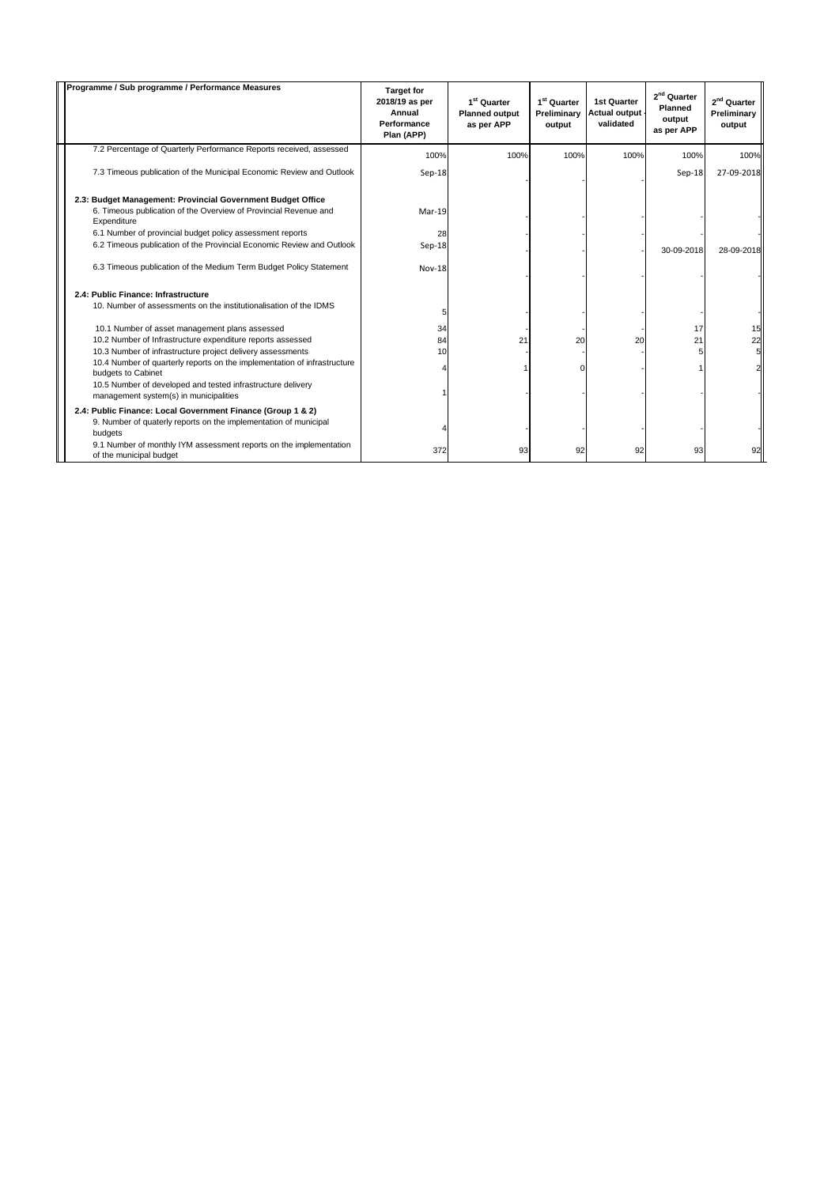| Programme / Sub programme / Performance Measures                                                      | <b>Target for</b><br>2018/19 as per<br>Annual<br>Performance<br>Plan (APP) | 1 <sup>st</sup> Quarter<br><b>Planned output</b><br>as per APP | 1 <sup>st</sup> Quarter<br>Preliminary<br>output | 1st Quarter<br><b>Actual output</b><br>validated | 2 <sup>nd</sup> Quarter<br><b>Planned</b><br>output<br>as per APP | 2 <sup>nd</sup> Quarter<br>Preliminary<br>output |
|-------------------------------------------------------------------------------------------------------|----------------------------------------------------------------------------|----------------------------------------------------------------|--------------------------------------------------|--------------------------------------------------|-------------------------------------------------------------------|--------------------------------------------------|
| 7.2 Percentage of Quarterly Performance Reports received, assessed                                    | 100%                                                                       | 100%                                                           | 100%                                             | 100%                                             | 100%                                                              | 100%                                             |
| 7.3 Timeous publication of the Municipal Economic Review and Outlook                                  | Sep-18                                                                     |                                                                |                                                  |                                                  | $Sep-18$                                                          | 27-09-2018                                       |
| 2.3: Budget Management: Provincial Government Budget Office                                           |                                                                            |                                                                |                                                  |                                                  |                                                                   |                                                  |
| 6. Timeous publication of the Overview of Provincial Revenue and<br>Expenditure                       | Mar-19                                                                     |                                                                |                                                  |                                                  |                                                                   |                                                  |
| 6.1 Number of provincial budget policy assessment reports                                             | 28                                                                         |                                                                |                                                  |                                                  |                                                                   |                                                  |
| 6.2 Timeous publication of the Provincial Economic Review and Outlook                                 | $Sep-18$                                                                   |                                                                |                                                  |                                                  | 30-09-2018                                                        | 28-09-2018                                       |
| 6.3 Timeous publication of the Medium Term Budget Policy Statement                                    | <b>Nov-18</b>                                                              |                                                                |                                                  |                                                  |                                                                   |                                                  |
| 2.4: Public Finance: Infrastructure                                                                   |                                                                            |                                                                |                                                  |                                                  |                                                                   |                                                  |
| 10. Number of assessments on the institutionalisation of the IDMS                                     | 5                                                                          |                                                                |                                                  |                                                  |                                                                   |                                                  |
| 10.1 Number of asset management plans assessed                                                        | 34                                                                         |                                                                |                                                  |                                                  | 17                                                                | 15                                               |
| 10.2 Number of Infrastructure expenditure reports assessed                                            | 84                                                                         | 21                                                             | 20                                               | 20                                               | 21                                                                | 22                                               |
| 10.3 Number of infrastructure project delivery assessments                                            | 10                                                                         |                                                                |                                                  |                                                  |                                                                   |                                                  |
| 10.4 Number of quarterly reports on the implementation of infrastructure<br>budgets to Cabinet        |                                                                            |                                                                |                                                  |                                                  |                                                                   |                                                  |
| 10.5 Number of developed and tested infrastructure delivery<br>management system(s) in municipalities |                                                                            |                                                                |                                                  |                                                  |                                                                   |                                                  |
| 2.4: Public Finance: Local Government Finance (Group 1 & 2)                                           |                                                                            |                                                                |                                                  |                                                  |                                                                   |                                                  |
| 9. Number of quaterly reports on the implementation of municipal<br>budgets                           |                                                                            |                                                                |                                                  |                                                  |                                                                   |                                                  |
| 9.1 Number of monthly IYM assessment reports on the implementation<br>of the municipal budget         | 372                                                                        | 93                                                             | 92                                               | 92                                               | 93                                                                | 92                                               |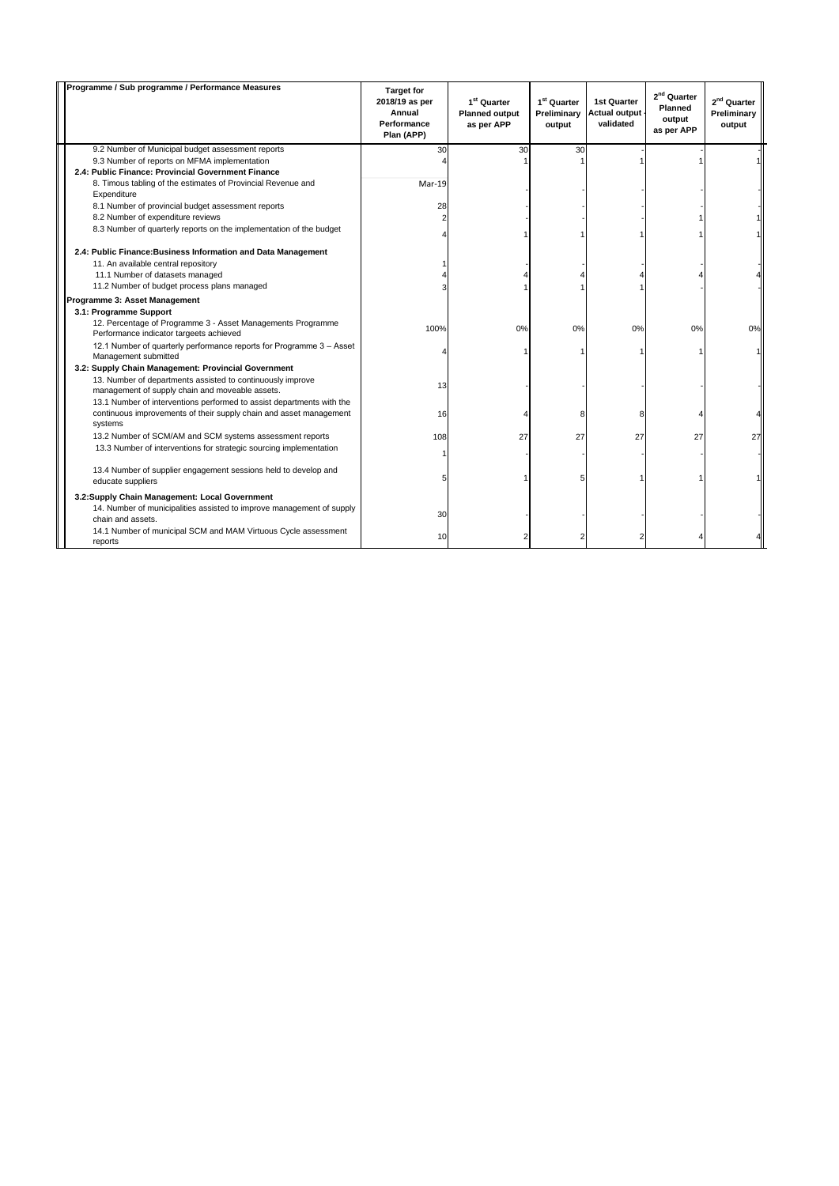| Programme / Sub programme / Performance Measures                                                              | <b>Target for</b><br>2018/19 as per<br>Annual<br>Performance<br>Plan (APP) | 1 <sup>st</sup> Quarter<br><b>Planned output</b><br>as per APP | 1 <sup>st</sup> Quarter<br>Preliminary<br>output | <b>1st Quarter</b><br><b>Actual output</b><br>validated | $2^{nd}$ Quarter<br>Planned<br>output<br>as per APP | 2 <sup>nd</sup> Quarter<br>Preliminary<br>output |
|---------------------------------------------------------------------------------------------------------------|----------------------------------------------------------------------------|----------------------------------------------------------------|--------------------------------------------------|---------------------------------------------------------|-----------------------------------------------------|--------------------------------------------------|
| 9.2 Number of Municipal budget assessment reports                                                             | 30                                                                         | 30                                                             | 30                                               |                                                         |                                                     |                                                  |
| 9.3 Number of reports on MFMA implementation                                                                  |                                                                            |                                                                |                                                  |                                                         |                                                     |                                                  |
| 2.4: Public Finance: Provincial Government Finance                                                            |                                                                            |                                                                |                                                  |                                                         |                                                     |                                                  |
| 8. Timous tabling of the estimates of Provincial Revenue and<br>Expenditure                                   | Mar-19                                                                     |                                                                |                                                  |                                                         |                                                     |                                                  |
| 8.1 Number of provincial budget assessment reports                                                            | 28                                                                         |                                                                |                                                  |                                                         |                                                     |                                                  |
| 8.2 Number of expenditure reviews                                                                             |                                                                            |                                                                |                                                  |                                                         |                                                     |                                                  |
| 8.3 Number of quarterly reports on the implementation of the budget                                           |                                                                            |                                                                |                                                  |                                                         |                                                     |                                                  |
| 2.4: Public Finance: Business Information and Data Management                                                 |                                                                            |                                                                |                                                  |                                                         |                                                     |                                                  |
| 11. An available central repository                                                                           |                                                                            |                                                                |                                                  |                                                         |                                                     |                                                  |
| 11.1 Number of datasets managed                                                                               |                                                                            |                                                                |                                                  |                                                         |                                                     |                                                  |
| 11.2 Number of budget process plans managed                                                                   |                                                                            |                                                                |                                                  |                                                         |                                                     |                                                  |
| Programme 3: Asset Management<br>3.1: Programme Support                                                       |                                                                            |                                                                |                                                  |                                                         |                                                     |                                                  |
| 12. Percentage of Programme 3 - Asset Managements Programme<br>Performance indicator targeets achieved        | 100%                                                                       | 0%                                                             | 0%                                               | 0%                                                      | 0%                                                  | 0%                                               |
| 12.1 Number of quarterly performance reports for Programme 3 - Asset<br>Management submitted                  |                                                                            |                                                                |                                                  |                                                         |                                                     |                                                  |
| 3.2: Supply Chain Management: Provincial Government                                                           |                                                                            |                                                                |                                                  |                                                         |                                                     |                                                  |
| 13. Number of departments assisted to continuously improve<br>management of supply chain and moveable assets. | 13                                                                         |                                                                |                                                  |                                                         |                                                     |                                                  |
| 13.1 Number of interventions performed to assist departments with the                                         |                                                                            |                                                                |                                                  |                                                         |                                                     |                                                  |
| continuous improvements of their supply chain and asset management<br>systems                                 | 16                                                                         |                                                                | 8                                                |                                                         |                                                     |                                                  |
| 13.2 Number of SCM/AM and SCM systems assessment reports                                                      | 108                                                                        | 27                                                             | 27                                               | 27                                                      | 27                                                  | 27                                               |
| 13.3 Number of interventions for strategic sourcing implementation                                            |                                                                            |                                                                |                                                  |                                                         |                                                     |                                                  |
| 13.4 Number of supplier engagement sessions held to develop and<br>educate suppliers                          |                                                                            |                                                                |                                                  |                                                         |                                                     |                                                  |
| 3.2:Supply Chain Management: Local Government                                                                 |                                                                            |                                                                |                                                  |                                                         |                                                     |                                                  |
| 14. Number of municipalities assisted to improve management of supply<br>chain and assets.                    | 30                                                                         |                                                                |                                                  |                                                         |                                                     |                                                  |
| 14.1 Number of municipal SCM and MAM Virtuous Cycle assessment<br>reports                                     | 10                                                                         |                                                                |                                                  |                                                         |                                                     |                                                  |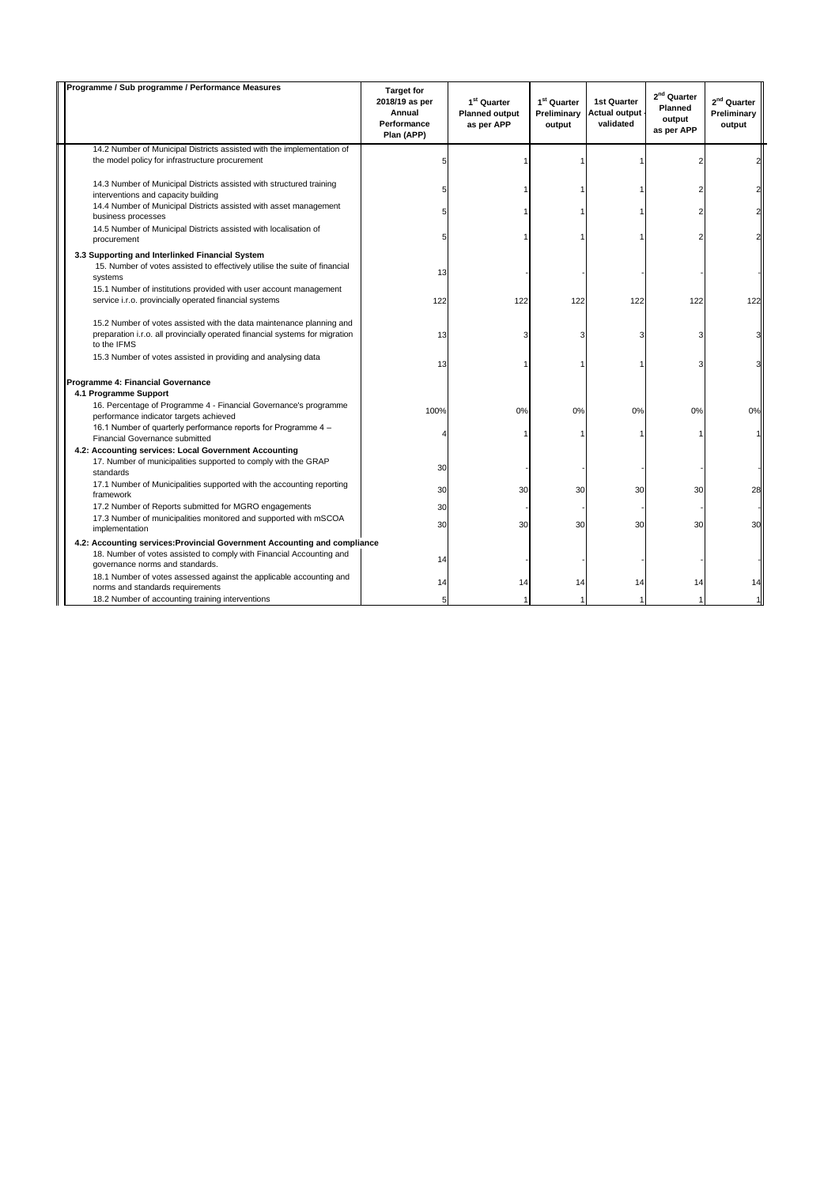| Programme / Sub programme / Performance Measures                                                                                                                                     | <b>Target for</b><br>2018/19 as per<br>Annual<br>Performance<br>Plan (APP) | 1 <sup>st</sup> Quarter<br><b>Planned output</b><br>as per APP | 1 <sup>st</sup> Quarter<br>Preliminary<br>output | 1st Quarter<br><b>Actual output</b><br>validated | 2 <sup>nd</sup> Quarter<br>Planned<br>output<br>as per APP | 2 <sup>nd</sup> Quarter<br>Preliminary<br>output |
|--------------------------------------------------------------------------------------------------------------------------------------------------------------------------------------|----------------------------------------------------------------------------|----------------------------------------------------------------|--------------------------------------------------|--------------------------------------------------|------------------------------------------------------------|--------------------------------------------------|
| 14.2 Number of Municipal Districts assisted with the implementation of                                                                                                               |                                                                            |                                                                |                                                  |                                                  |                                                            |                                                  |
| the model policy for infrastructure procurement                                                                                                                                      |                                                                            |                                                                |                                                  |                                                  |                                                            |                                                  |
| 14.3 Number of Municipal Districts assisted with structured training<br>interventions and capacity building                                                                          |                                                                            |                                                                |                                                  |                                                  |                                                            |                                                  |
| 14.4 Number of Municipal Districts assisted with asset management<br>business processes                                                                                              |                                                                            |                                                                |                                                  |                                                  |                                                            |                                                  |
| 14.5 Number of Municipal Districts assisted with localisation of<br>procurement                                                                                                      |                                                                            |                                                                |                                                  |                                                  |                                                            |                                                  |
| 3.3 Supporting and Interlinked Financial System                                                                                                                                      |                                                                            |                                                                |                                                  |                                                  |                                                            |                                                  |
| 15. Number of votes assisted to effectively utilise the suite of financial<br>systems                                                                                                | 13                                                                         |                                                                |                                                  |                                                  |                                                            |                                                  |
| 15.1 Number of institutions provided with user account management<br>service i.r.o. provincially operated financial systems                                                          | 122                                                                        | 122                                                            | 122                                              | 122                                              | 122                                                        | 122                                              |
| 15.2 Number of votes assisted with the data maintenance planning and<br>preparation i.r.o. all provincially operated financial systems for migration<br>to the IFMS                  | 13                                                                         | 3                                                              |                                                  |                                                  |                                                            |                                                  |
| 15.3 Number of votes assisted in providing and analysing data                                                                                                                        | 13                                                                         |                                                                |                                                  |                                                  | 3                                                          |                                                  |
| Programme 4: Financial Governance<br>4.1 Programme Support                                                                                                                           |                                                                            |                                                                |                                                  |                                                  |                                                            |                                                  |
| 16. Percentage of Programme 4 - Financial Governance's programme<br>performance indicator targets achieved                                                                           | 100%                                                                       | 0%                                                             | 0%                                               | 0%                                               | 0%                                                         | 0 <sup>9</sup>                                   |
| 16.1 Number of quarterly performance reports for Programme 4 -<br>Financial Governance submitted                                                                                     |                                                                            |                                                                |                                                  |                                                  |                                                            |                                                  |
| 4.2: Accounting services: Local Government Accounting<br>17. Number of municipalities supported to comply with the GRAP<br>standards                                                 | 30                                                                         |                                                                |                                                  |                                                  |                                                            |                                                  |
| 17.1 Number of Municipalities supported with the accounting reporting<br>framework                                                                                                   | 30                                                                         | 30                                                             | 30                                               | 30                                               | 30                                                         | 28                                               |
| 17.2 Number of Reports submitted for MGRO engagements                                                                                                                                | 30                                                                         |                                                                |                                                  |                                                  |                                                            |                                                  |
| 17.3 Number of municipalities monitored and supported with mSCOA<br>implementation                                                                                                   | 30                                                                         | 30                                                             | 30                                               | 30                                               | 30                                                         | 30                                               |
| 4.2: Accounting services: Provincial Government Accounting and compliance<br>18. Number of votes assisted to comply with Financial Accounting and<br>governance norms and standards. | 14                                                                         |                                                                |                                                  |                                                  |                                                            |                                                  |
| 18.1 Number of votes assessed against the applicable accounting and<br>norms and standards requirements                                                                              | 14                                                                         | 14                                                             | 14                                               | 14                                               | 14                                                         |                                                  |
| 18.2 Number of accounting training interventions                                                                                                                                     |                                                                            |                                                                |                                                  |                                                  |                                                            |                                                  |